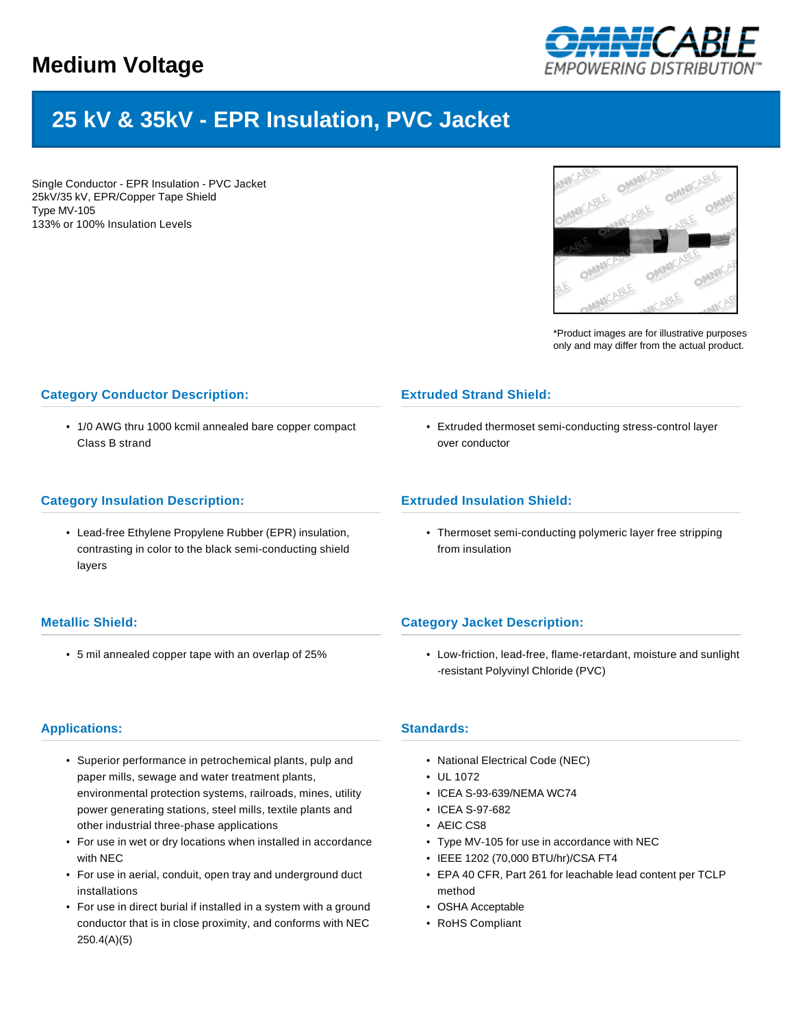

# **25 kV & 35kV - EPR Insulation, PVC Jacket**

Single Conductor - EPR Insulation - PVC Jacket 25kV/35 kV, EPR/Copper Tape Shield Type MV-105 133% or 100% Insulation Levels



\*Product images are for illustrative purposes only and may differ from the actual product.

## **Category Conductor Description:**

• 1/0 AWG thru 1000 kcmil annealed bare copper compact Class B strand

### **Category Insulation Description:**

• Lead-free Ethylene Propylene Rubber (EPR) insulation, contrasting in color to the black semi-conducting shield layers

## **Metallic Shield:**

• 5 mil annealed copper tape with an overlap of 25%

# **Extruded Strand Shield:**

• Extruded thermoset semi-conducting stress-control layer over conductor

## **Extruded Insulation Shield:**

• Thermoset semi-conducting polymeric layer free stripping from insulation

## **Category Jacket Description:**

• Low-friction, lead-free, flame-retardant, moisture and sunlight -resistant Polyvinyl Chloride (PVC)

## **Applications:**

- Superior performance in petrochemical plants, pulp and paper mills, sewage and water treatment plants, environmental protection systems, railroads, mines, utility power generating stations, steel mills, textile plants and other industrial three-phase applications
- For use in wet or dry locations when installed in accordance with NEC
- For use in aerial, conduit, open tray and underground duct installations
- For use in direct burial if installed in a system with a ground conductor that is in close proximity, and conforms with NEC 250.4(A)(5)

#### **Standards:**

- National Electrical Code (NEC)
- UL 1072
- ICEA S-93-639/NEMA WC74
- ICEA S-97-682
- AEIC CS8
- Type MV-105 for use in accordance with NEC
- IEEE 1202 (70,000 BTU/hr)/CSA FT4
- EPA 40 CFR, Part 261 for leachable lead content per TCLP method
- OSHA Acceptable
- RoHS Compliant